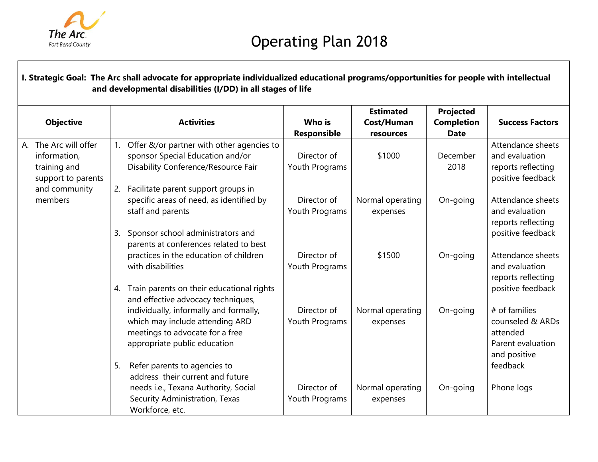

| <b>Objective</b>                                                               | <b>Activities</b>                                                                                                                                                                  | Who is<br>Responsible         | <b>Estimated</b><br>Cost/Human<br>resources | Projected<br><b>Completion</b><br><b>Date</b> | <b>Success Factors</b>                                                             |
|--------------------------------------------------------------------------------|------------------------------------------------------------------------------------------------------------------------------------------------------------------------------------|-------------------------------|---------------------------------------------|-----------------------------------------------|------------------------------------------------------------------------------------|
| The Arc will offer<br>А.<br>information,<br>training and<br>support to parents | Offer &/or partner with other agencies to<br>$\mathbf{1}$ .<br>sponsor Special Education and/or<br>Disability Conference/Resource Fair                                             | Director of<br>Youth Programs | \$1000                                      | December<br>2018                              | Attendance sheets<br>and evaluation<br>reports reflecting<br>positive feedback     |
| and community<br>members                                                       | Facilitate parent support groups in<br>2.<br>specific areas of need, as identified by<br>staff and parents<br>Sponsor school administrators and<br>3.                              | Director of<br>Youth Programs | Normal operating<br>expenses                | On-going                                      | Attendance sheets<br>and evaluation<br>reports reflecting<br>positive feedback     |
|                                                                                | parents at conferences related to best<br>practices in the education of children<br>with disabilities<br>Train parents on their educational rights<br>4.                           | Director of<br>Youth Programs | \$1500                                      | On-going                                      | Attendance sheets<br>and evaluation<br>reports reflecting<br>positive feedback     |
|                                                                                | and effective advocacy techniques,<br>individually, informally and formally,<br>which may include attending ARD<br>meetings to advocate for a free<br>appropriate public education | Director of<br>Youth Programs | Normal operating<br>expenses                | On-going                                      | # of families<br>counseled & ARDs<br>attended<br>Parent evaluation<br>and positive |
|                                                                                | Refer parents to agencies to<br>5.<br>address their current and future<br>needs i.e., Texana Authority, Social<br>Security Administration, Texas<br>Workforce, etc.                | Director of<br>Youth Programs | Normal operating<br>expenses                | On-going                                      | feedback<br>Phone logs                                                             |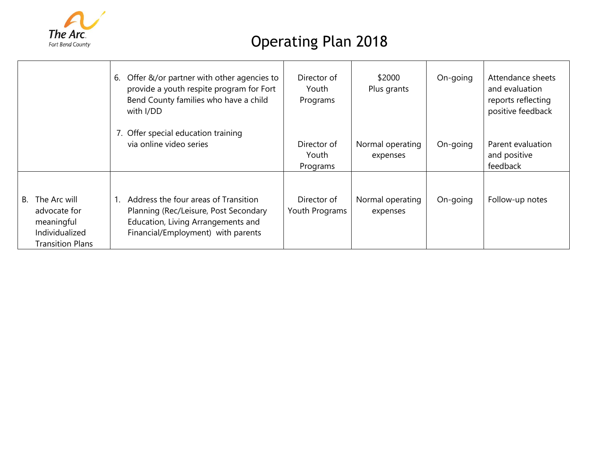

|                                                                                               | 6. Offer &/or partner with other agencies to<br>provide a youth respite program for Fort<br>Bend County families who have a child<br>with I/DD            | Director of<br>Youth<br>Programs | \$2000<br>Plus grants        | On-going | Attendance sheets<br>and evaluation<br>reports reflecting<br>positive feedback |
|-----------------------------------------------------------------------------------------------|-----------------------------------------------------------------------------------------------------------------------------------------------------------|----------------------------------|------------------------------|----------|--------------------------------------------------------------------------------|
|                                                                                               | 7. Offer special education training<br>via online video series                                                                                            | Director of<br>Youth<br>Programs | Normal operating<br>expenses | On-going | Parent evaluation<br>and positive<br>feedback                                  |
| The Arc will<br>В.<br>advocate for<br>meaningful<br>Individualized<br><b>Transition Plans</b> | Address the four areas of Transition<br>Planning (Rec/Leisure, Post Secondary<br>Education, Living Arrangements and<br>Financial/Employment) with parents | Director of<br>Youth Programs    | Normal operating<br>expenses | On-going | Follow-up notes                                                                |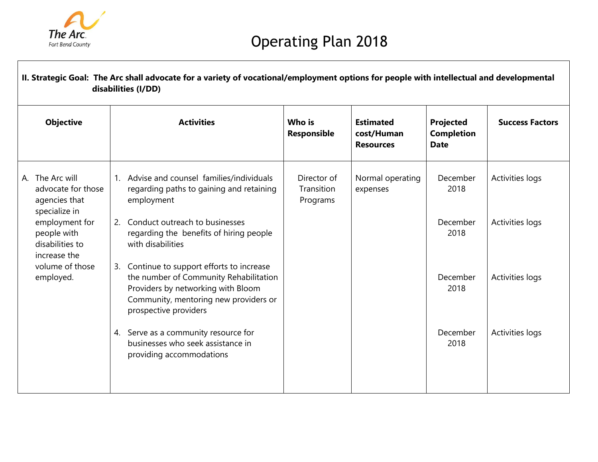

| II. Strategic Goal: The Arc shall advocate for a variety of vocational/employment options for people with intellectual and developmental<br>disabilities (I/DD) |                                                                                                                                                                                                 |                                       |                                                    |                                               |                        |  |  |  |  |  |  |
|-----------------------------------------------------------------------------------------------------------------------------------------------------------------|-------------------------------------------------------------------------------------------------------------------------------------------------------------------------------------------------|---------------------------------------|----------------------------------------------------|-----------------------------------------------|------------------------|--|--|--|--|--|--|
| <b>Objective</b>                                                                                                                                                | <b>Activities</b>                                                                                                                                                                               | Who is<br>Responsible                 | <b>Estimated</b><br>cost/Human<br><b>Resources</b> | Projected<br><b>Completion</b><br><b>Date</b> | <b>Success Factors</b> |  |  |  |  |  |  |
| A. The Arc will<br>advocate for those<br>agencies that<br>specialize in                                                                                         | Advise and counsel families/individuals<br>regarding paths to gaining and retaining<br>employment                                                                                               | Director of<br>Transition<br>Programs | Normal operating<br>expenses                       | December<br>2018                              | Activities logs        |  |  |  |  |  |  |
| employment for<br>people with<br>disabilities to<br>increase the                                                                                                | Conduct outreach to businesses<br>2.<br>regarding the benefits of hiring people<br>with disabilities                                                                                            |                                       |                                                    | December<br>2018                              | Activities logs        |  |  |  |  |  |  |
| volume of those<br>employed.                                                                                                                                    | Continue to support efforts to increase<br>3.<br>the number of Community Rehabilitation<br>Providers by networking with Bloom<br>Community, mentoring new providers or<br>prospective providers |                                       |                                                    | December<br>2018                              | Activities logs        |  |  |  |  |  |  |
|                                                                                                                                                                 | 4. Serve as a community resource for<br>businesses who seek assistance in<br>providing accommodations                                                                                           |                                       |                                                    | December<br>2018                              | Activities logs        |  |  |  |  |  |  |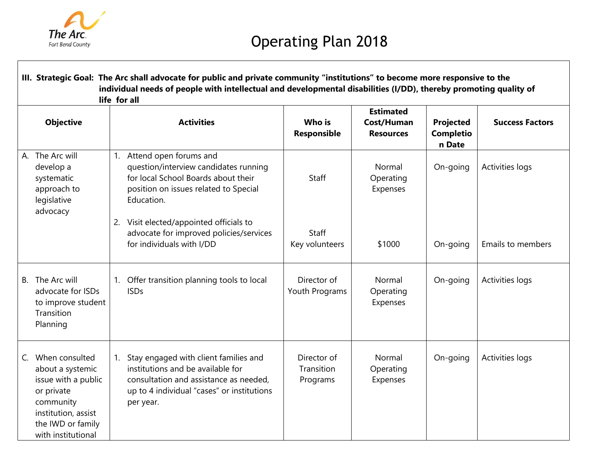

| III. Strategic Goal: The Arc shall advocate for public and private community "institutions" to become more responsive to the<br>individual needs of people with intellectual and developmental disabilities (I/DD), thereby promoting quality of<br>life for all |    |                                                                                                                                                                                 |                                       |                                                    |                                         |                        |  |  |
|------------------------------------------------------------------------------------------------------------------------------------------------------------------------------------------------------------------------------------------------------------------|----|---------------------------------------------------------------------------------------------------------------------------------------------------------------------------------|---------------------------------------|----------------------------------------------------|-----------------------------------------|------------------------|--|--|
| <b>Objective</b>                                                                                                                                                                                                                                                 |    | <b>Activities</b>                                                                                                                                                               | Who is<br><b>Responsible</b>          | <b>Estimated</b><br>Cost/Human<br><b>Resources</b> | Projected<br><b>Completio</b><br>n Date | <b>Success Factors</b> |  |  |
| A. The Arc will<br>develop a<br>systematic<br>approach to<br>legislative<br>advocacy                                                                                                                                                                             | 1. | Attend open forums and<br>question/interview candidates running<br>for local School Boards about their<br>position on issues related to Special<br>Education.                   | Staff                                 | Normal<br>Operating<br>Expenses                    | On-going                                | Activities logs        |  |  |
|                                                                                                                                                                                                                                                                  |    | 2. Visit elected/appointed officials to<br>advocate for improved policies/services<br>for individuals with I/DD                                                                 | <b>Staff</b><br>Key volunteers        | \$1000                                             | On-going                                | Emails to members      |  |  |
| The Arc will<br><b>B.</b><br>advocate for ISDs<br>to improve student<br>Transition<br>Planning                                                                                                                                                                   |    | 1. Offer transition planning tools to local<br><b>ISDs</b>                                                                                                                      | Director of<br>Youth Programs         | Normal<br>Operating<br>Expenses                    | On-going                                | Activities logs        |  |  |
| When consulted<br>$C_{\cdot}$<br>about a systemic<br>issue with a public<br>or private<br>community<br>institution, assist<br>the IWD or family<br>with institutional                                                                                            |    | Stay engaged with client families and<br>institutions and be available for<br>consultation and assistance as needed,<br>up to 4 individual "cases" or institutions<br>per year. | Director of<br>Transition<br>Programs | Normal<br>Operating<br>Expenses                    | On-going                                | Activities logs        |  |  |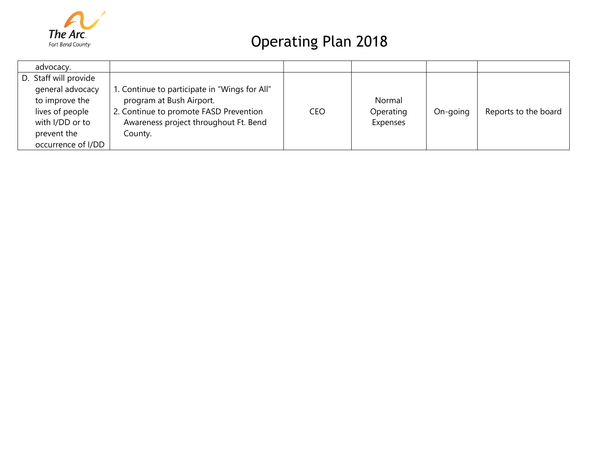

| advocacy.             |                                               |     |           |          |                      |
|-----------------------|-----------------------------------------------|-----|-----------|----------|----------------------|
| D. Staff will provide |                                               |     |           |          |                      |
| general advocacy      | 1. Continue to participate in "Wings for All" |     |           |          |                      |
| to improve the        | program at Bush Airport.                      |     | Normal    |          |                      |
| lives of people       | 2. Continue to promote FASD Prevention        | CEO | Operating | On-going | Reports to the board |
| with I/DD or to       | Awareness project throughout Ft. Bend         |     | Expenses  |          |                      |
| prevent the           | County.                                       |     |           |          |                      |
| occurrence of I/DD    |                                               |     |           |          |                      |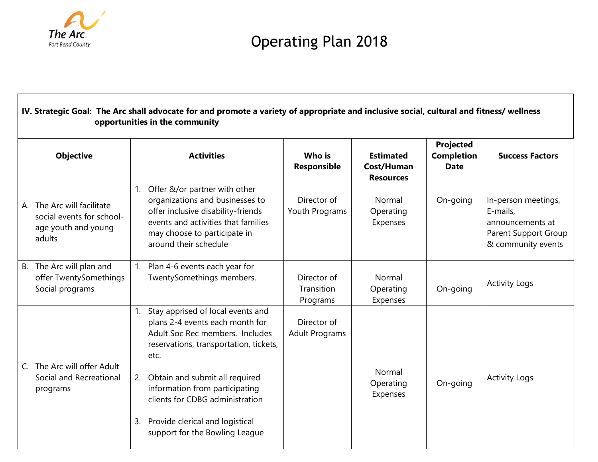

| IV. Strategic Goal: The Arc shall advocate for and promote a variety of appropriate and inclusive social, cultural and fitness/ wellness<br>opportunities in the community |                                                                                          |                |                                                                                                                                                                                                                                                                                                                                       |                                       |                                                    |                                               |                                                                                                          |  |  |  |
|----------------------------------------------------------------------------------------------------------------------------------------------------------------------------|------------------------------------------------------------------------------------------|----------------|---------------------------------------------------------------------------------------------------------------------------------------------------------------------------------------------------------------------------------------------------------------------------------------------------------------------------------------|---------------------------------------|----------------------------------------------------|-----------------------------------------------|----------------------------------------------------------------------------------------------------------|--|--|--|
| <b>Objective</b>                                                                                                                                                           |                                                                                          |                | <b>Activities</b>                                                                                                                                                                                                                                                                                                                     | Who is<br>Responsible                 | <b>Estimated</b><br>Cost/Human<br><b>Resources</b> | Projected<br><b>Completion</b><br><b>Date</b> | <b>Success Factors</b>                                                                                   |  |  |  |
|                                                                                                                                                                            | A. The Arc will facilitate<br>social events for school-<br>age youth and young<br>adults | 1.             | Offer &/or partner with other<br>organizations and businesses to<br>offer inclusive disability-friends<br>events and activities that families<br>may choose to participate in<br>around their schedule                                                                                                                                | Director of<br>Youth Programs         | Normal<br>Operating<br>Expenses                    | On-going                                      | In-person meetings,<br>E-mails,<br>announcements at<br><b>Parent Support Group</b><br>& community events |  |  |  |
| <b>B.</b>                                                                                                                                                                  | The Arc will plan and<br>offer TwentySomethings<br>Social programs                       |                | 1. Plan 4-6 events each year for<br>TwentySomethings members.                                                                                                                                                                                                                                                                         | Director of<br>Transition<br>Programs | Normal<br>Operating<br>Expenses                    | On-going                                      | <b>Activity Logs</b>                                                                                     |  |  |  |
| C.                                                                                                                                                                         | The Arc will offer Adult<br>Social and Recreational<br>programs                          | 1.<br>2.<br>3. | Stay apprised of local events and<br>plans 2-4 events each month for<br>Adult Soc Rec members. Includes<br>reservations, transportation, tickets,<br>etc.<br>Obtain and submit all required<br>information from participating<br>clients for CDBG administration<br>Provide clerical and logistical<br>support for the Bowling League | Director of<br><b>Adult Programs</b>  | Normal<br>Operating<br>Expenses                    | On-going                                      | <b>Activity Logs</b>                                                                                     |  |  |  |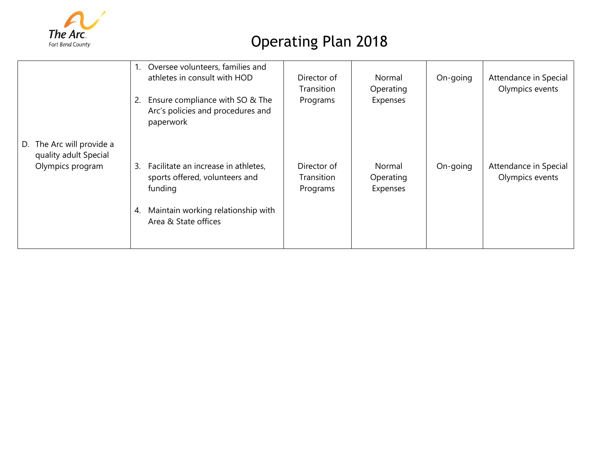

|                                                                           | Oversee volunteers, families and<br>1.<br>athletes in consult with HOD<br>Ensure compliance with SO & The<br>2.<br>Arc's policies and procedures and<br>paperwork | Director of<br><b>Transition</b><br>Programs | Normal<br>Operating<br>Expenses | On-going | Attendance in Special<br>Olympics events |
|---------------------------------------------------------------------------|-------------------------------------------------------------------------------------------------------------------------------------------------------------------|----------------------------------------------|---------------------------------|----------|------------------------------------------|
| The Arc will provide a<br>D.<br>quality adult Special<br>Olympics program | Facilitate an increase in athletes,<br>3.<br>sports offered, volunteers and<br>funding<br>Maintain working relationship with<br>4.<br>Area & State offices        | Director of<br>Transition<br>Programs        | Normal<br>Operating<br>Expenses | On-going | Attendance in Special<br>Olympics events |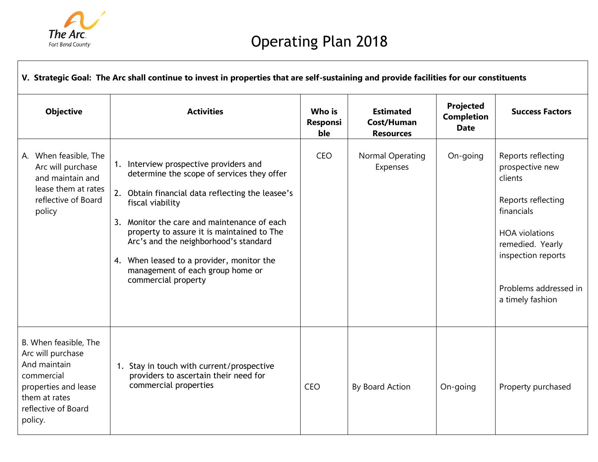

Г

┑

| V. Strategic Goal: The Arc shall continue to invest in properties that are self-sustaining and provide facilities for our constituents              |                                                                                                                                                                                                                                                                                                                                                                                                               |                                  |                                                    |                                               |                                                                                                                                                                                                      |  |  |  |  |
|-----------------------------------------------------------------------------------------------------------------------------------------------------|---------------------------------------------------------------------------------------------------------------------------------------------------------------------------------------------------------------------------------------------------------------------------------------------------------------------------------------------------------------------------------------------------------------|----------------------------------|----------------------------------------------------|-----------------------------------------------|------------------------------------------------------------------------------------------------------------------------------------------------------------------------------------------------------|--|--|--|--|
| <b>Objective</b>                                                                                                                                    | <b>Activities</b>                                                                                                                                                                                                                                                                                                                                                                                             | Who is<br><b>Responsi</b><br>ble | <b>Estimated</b><br>Cost/Human<br><b>Resources</b> | Projected<br><b>Completion</b><br><b>Date</b> | <b>Success Factors</b>                                                                                                                                                                               |  |  |  |  |
| A. When feasible, The<br>Arc will purchase<br>and maintain and<br>lease them at rates<br>reflective of Board<br>policy                              | 1. Interview prospective providers and<br>determine the scope of services they offer<br>2. Obtain financial data reflecting the leasee's<br>fiscal viability<br>Monitor the care and maintenance of each<br>3.<br>property to assure it is maintained to The<br>Arc's and the neighborhood's standard<br>4. When leased to a provider, monitor the<br>management of each group home or<br>commercial property | <b>CEO</b>                       | Normal Operating<br>Expenses                       | On-going                                      | Reports reflecting<br>prospective new<br>clients<br>Reports reflecting<br>financials<br><b>HOA</b> violations<br>remedied. Yearly<br>inspection reports<br>Problems addressed in<br>a timely fashion |  |  |  |  |
| B. When feasible, The<br>Arc will purchase<br>And maintain<br>commercial<br>properties and lease<br>them at rates<br>reflective of Board<br>policy. | 1. Stay in touch with current/prospective<br>providers to ascertain their need for<br>commercial properties                                                                                                                                                                                                                                                                                                   | CEO                              | By Board Action                                    | On-going                                      | Property purchased                                                                                                                                                                                   |  |  |  |  |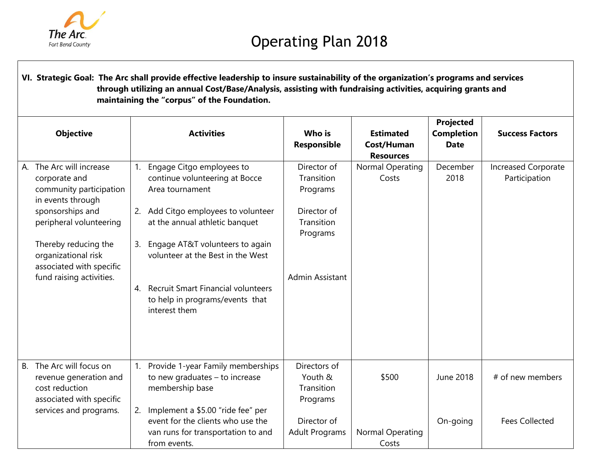

**VI. Strategic Goal: The Arc shall provide effective leadership to insure sustainability of the organization's programs and services through utilizing an annual Cost/Base/Analysis, assisting with fundraising activities, acquiring grants and maintaining the "corpus" of the Foundation.**

|           | <b>Objective</b>                                                                              |                | <b>Activities</b>                                                                                                            | Who is<br>Responsible                             | <b>Estimated</b><br>Cost/Human<br><b>Resources</b> | Projected<br><b>Completion</b><br><b>Date</b> | <b>Success Factors</b>                      |
|-----------|-----------------------------------------------------------------------------------------------|----------------|------------------------------------------------------------------------------------------------------------------------------|---------------------------------------------------|----------------------------------------------------|-----------------------------------------------|---------------------------------------------|
| А.        | The Arc will increase<br>corporate and<br>community participation<br>in events through        | 1 <sub>1</sub> | Engage Citgo employees to<br>continue volunteering at Bocce<br>Area tournament                                               | Director of<br>Transition<br>Programs             | Normal Operating<br>Costs                          | December<br>2018                              | <b>Increased Corporate</b><br>Participation |
|           | sponsorships and<br>peripheral volunteering                                                   |                | 2. Add Citgo employees to volunteer<br>at the annual athletic banquet                                                        | Director of<br>Transition<br>Programs             |                                                    |                                               |                                             |
|           | Thereby reducing the<br>organizational risk<br>associated with specific                       | 3.             | Engage AT&T volunteers to again<br>volunteer at the Best in the West                                                         |                                                   |                                                    |                                               |                                             |
|           | fund raising activities.                                                                      | 4.             | <b>Recruit Smart Financial volunteers</b><br>to help in programs/events that<br>interest them                                | Admin Assistant                                   |                                                    |                                               |                                             |
| <b>B.</b> | The Arc will focus on<br>revenue generation and<br>cost reduction<br>associated with specific | 1.             | Provide 1-year Family memberships<br>to new graduates - to increase<br>membership base                                       | Directors of<br>Youth &<br>Transition<br>Programs | \$500                                              | <b>June 2018</b>                              | # of new members                            |
|           | services and programs.                                                                        | 2.             | Implement a \$5.00 "ride fee" per<br>event for the clients who use the<br>van runs for transportation to and<br>from events. | Director of<br><b>Adult Programs</b>              | Normal Operating<br>Costs                          | On-going                                      | <b>Fees Collected</b>                       |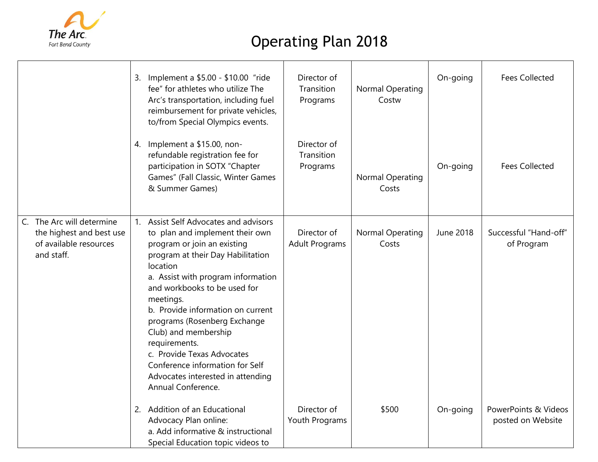

|                                                                                               | 3. Implement a \$5.00 - \$10.00 "ride<br>fee" for athletes who utilize The<br>Arc's transportation, including fuel<br>reimbursement for private vehicles,<br>to/from Special Olympics events.                                                                                                                                                                                                                                                                                         | Director of<br>Transition<br>Programs | Normal Operating<br>Costw        | On-going  | <b>Fees Collected</b>                     |
|-----------------------------------------------------------------------------------------------|---------------------------------------------------------------------------------------------------------------------------------------------------------------------------------------------------------------------------------------------------------------------------------------------------------------------------------------------------------------------------------------------------------------------------------------------------------------------------------------|---------------------------------------|----------------------------------|-----------|-------------------------------------------|
|                                                                                               | 4. Implement a \$15.00, non-<br>refundable registration fee for<br>participation in SOTX "Chapter<br>Games" (Fall Classic, Winter Games<br>& Summer Games)                                                                                                                                                                                                                                                                                                                            | Director of<br>Transition<br>Programs | <b>Normal Operating</b><br>Costs | On-going  | <b>Fees Collected</b>                     |
| C. The Arc will determine<br>the highest and best use<br>of available resources<br>and staff. | 1. Assist Self Advocates and advisors<br>to plan and implement their own<br>program or join an existing<br>program at their Day Habilitation<br>location<br>a. Assist with program information<br>and workbooks to be used for<br>meetings.<br>b. Provide information on current<br>programs (Rosenberg Exchange<br>Club) and membership<br>requirements.<br>c. Provide Texas Advocates<br>Conference information for Self<br>Advocates interested in attending<br>Annual Conference. | Director of<br><b>Adult Programs</b>  | Normal Operating<br>Costs        | June 2018 | Successful "Hand-off"<br>of Program       |
|                                                                                               | 2. Addition of an Educational<br>Advocacy Plan online:<br>a. Add informative & instructional<br>Special Education topic videos to                                                                                                                                                                                                                                                                                                                                                     | Director of<br>Youth Programs         | \$500                            | On-going  | PowerPoints & Videos<br>posted on Website |